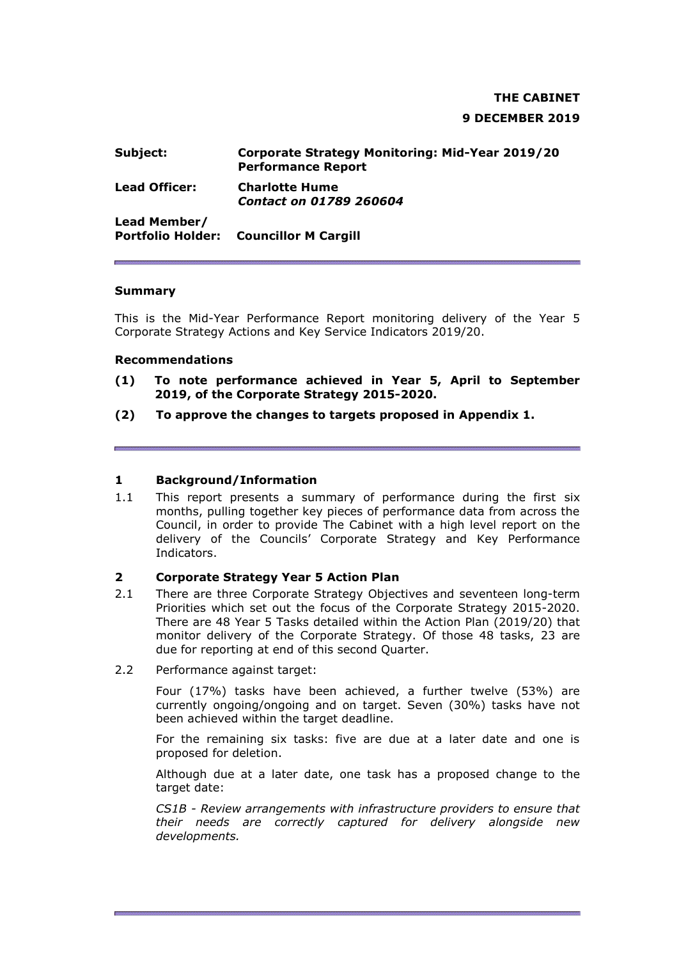# **THE CABINET 9 DECEMBER 2019**

| Subject:             | Corporate Strategy Monitoring: Mid-Year 2019/20<br><b>Performance Report</b> |
|----------------------|------------------------------------------------------------------------------|
| <b>Lead Officer:</b> | <b>Charlotte Hume</b><br><b>Contact on 01789 260604</b>                      |
| Lead Member/         | <b>Portfolio Holder: Councillor M Cargill</b>                                |

### **Summary**

This is the Mid-Year Performance Report monitoring delivery of the Year 5 Corporate Strategy Actions and Key Service Indicators 2019/20.

#### **Recommendations**

- **(1) To note performance achieved in Year 5, April to September 2019, of the Corporate Strategy 2015-2020.**
- **(2) To approve the changes to targets proposed in Appendix 1.**

### **1 Background/Information**

1.1 This report presents a summary of performance during the first six months, pulling together key pieces of performance data from across the Council, in order to provide The Cabinet with a high level report on the delivery of the Councils' Corporate Strategy and Key Performance Indicators.

## **2 Corporate Strategy Year 5 Action Plan**

- 2.1 There are three Corporate Strategy Objectives and seventeen long-term Priorities which set out the focus of the Corporate Strategy 2015-2020. There are 48 Year 5 Tasks detailed within the Action Plan (2019/20) that monitor delivery of the Corporate Strategy. Of those 48 tasks, 23 are due for reporting at end of this second Quarter.
- 2.2 Performance against target:

Four (17%) tasks have been achieved, a further twelve (53%) are currently ongoing/ongoing and on target. Seven (30%) tasks have not been achieved within the target deadline.

For the remaining six tasks: five are due at a later date and one is proposed for deletion.

Although due at a later date, one task has a proposed change to the target date:

*CS1B - Review arrangements with infrastructure providers to ensure that their needs are correctly captured for delivery alongside new developments.*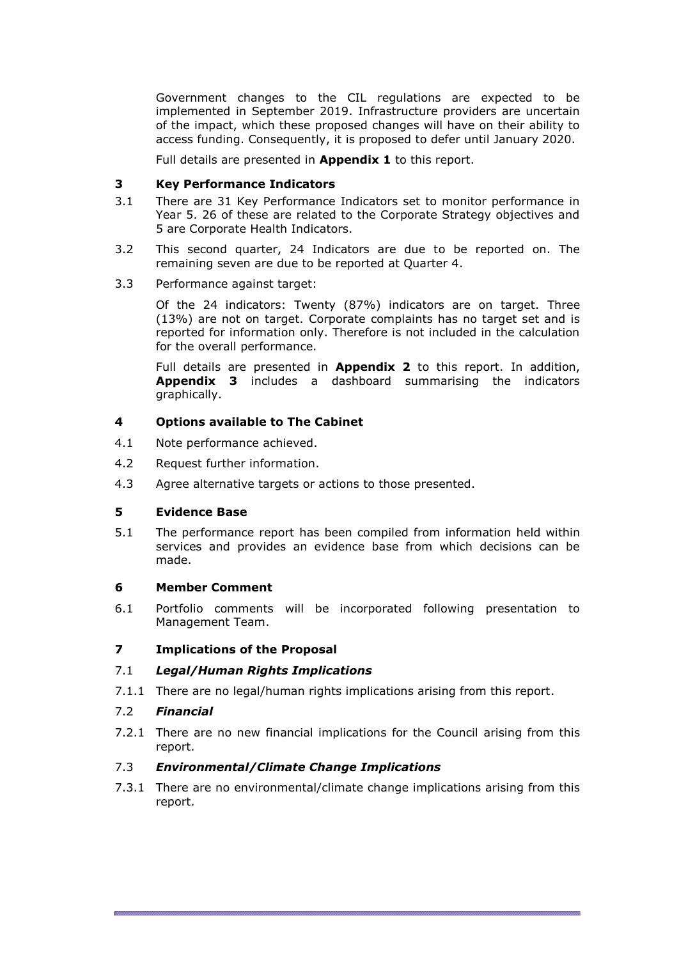Government changes to the CIL regulations are expected to be implemented in September 2019. Infrastructure providers are uncertain of the impact, which these proposed changes will have on their ability to access funding. Consequently, it is proposed to defer until January 2020.

Full details are presented in **Appendix 1** to this report.

## **3 Key Performance Indicators**

- 3.1 There are 31 Key Performance Indicators set to monitor performance in Year 5. 26 of these are related to the Corporate Strategy objectives and 5 are Corporate Health Indicators.
- 3.2 This second quarter, 24 Indicators are due to be reported on. The remaining seven are due to be reported at Quarter 4.
- 3.3 Performance against target:

Of the 24 indicators: Twenty (87%) indicators are on target. Three (13%) are not on target. Corporate complaints has no target set and is reported for information only. Therefore is not included in the calculation for the overall performance.

Full details are presented in **Appendix 2** to this report. In addition, **Appendix 3** includes a dashboard summarising the indicators graphically.

### **4 Options available to The Cabinet**

- 4.1 Note performance achieved.
- 4.2 Request further information.
- 4.3 Agree alternative targets or actions to those presented.

### **5 Evidence Base**

5.1 The performance report has been compiled from information held within services and provides an evidence base from which decisions can be made.

#### **6 Member Comment**

6.1 Portfolio comments will be incorporated following presentation to Management Team.

## **7 Implications of the Proposal**

## 7.1 *Legal/Human Rights Implications*

7.1.1 There are no legal/human rights implications arising from this report.

#### 7.2 *Financial*

7.2.1 There are no new financial implications for the Council arising from this report.

## 7.3 *Environmental/Climate Change Implications*

7.3.1 There are no environmental/climate change implications arising from this report.